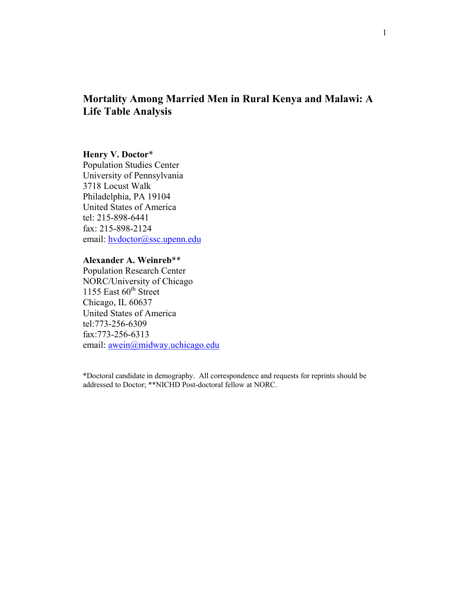# **Mortality Among Married Men in Rural Kenya and Malawi: A Life Table Analysis**

### **Henry V. Doctor**\*

Population Studies Center University of Pennsylvania 3718 Locust Walk Philadelphia, PA 19104 United States of America tel: 215-898-6441 fax: 215-898-2124 email: [hvdoctor@ssc.upenn.edu](mailto:hvdoctor@ssc.upenn.edu)

### **Alexander A. Weinreb**\*\*

Population Research Center NORC/University of Chicago 1155 East  $60^{\text{th}}$  Street Chicago, IL 60637 United States of America tel:773-256-6309 fax:773-256-6313 email: [awein@midway.uchicago.edu](mailto:awein@midway.uchicago.edu)

\*Doctoral candidate in demography. All correspondence and requests for reprints should be addressed to Doctor; \*\*NICHD Post-doctoral fellow at NORC.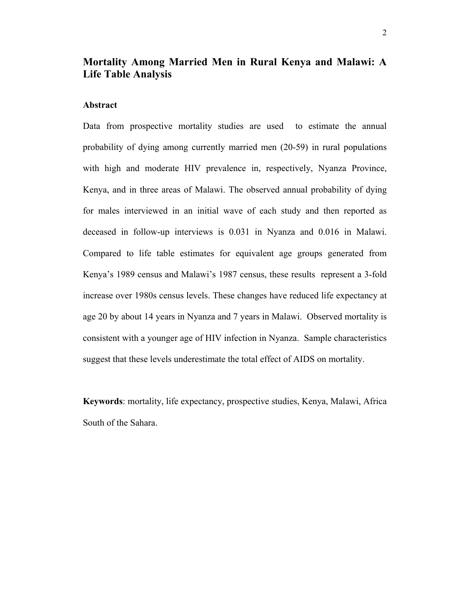## **Mortality Among Married Men in Rural Kenya and Malawi: A Life Table Analysis**

### **Abstract**

Data from prospective mortality studies are used to estimate the annual probability of dying among currently married men (20-59) in rural populations with high and moderate HIV prevalence in, respectively, Nyanza Province, Kenya, and in three areas of Malawi. The observed annual probability of dying for males interviewed in an initial wave of each study and then reported as deceased in follow-up interviews is 0.031 in Nyanza and 0.016 in Malawi. Compared to life table estimates for equivalent age groups generated from Kenya's 1989 census and Malawi's 1987 census, these results represent a 3-fold increase over 1980s census levels. These changes have reduced life expectancy at age 20 by about 14 years in Nyanza and 7 years in Malawi. Observed mortality is consistent with a younger age of HIV infection in Nyanza. Sample characteristics suggest that these levels underestimate the total effect of AIDS on mortality.

**Keywords**: mortality, life expectancy, prospective studies, Kenya, Malawi, Africa South of the Sahara.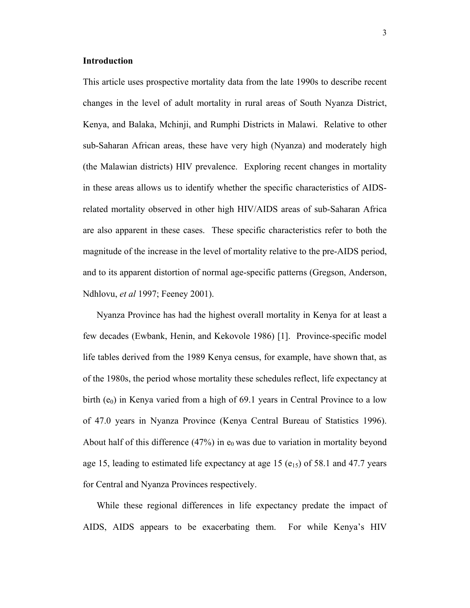#### **Introduction**

This article uses prospective mortality data from the late 1990s to describe recent changes in the level of adult mortality in rural areas of South Nyanza District, Kenya, and Balaka, Mchinji, and Rumphi Districts in Malawi. Relative to other sub-Saharan African areas, these have very high (Nyanza) and moderately high (the Malawian districts) HIV prevalence. Exploring recent changes in mortality in these areas allows us to identify whether the specific characteristics of AIDSrelated mortality observed in other high HIV/AIDS areas of sub-Saharan Africa are also apparent in these cases. These specific characteristics refer to both the magnitude of the increase in the level of mortality relative to the pre-AIDS period, and to its apparent distortion of normal age-specific patterns (Gregson, Anderson, Ndhlovu, *et al* 1997; Feeney 2001).

 Nyanza Province has had the highest overall mortality in Kenya for at least a few decades (Ewbank, Henin, and Kekovole 1986) [1]. Province-specific model life tables derived from the 1989 Kenya census, for example, have shown that, as of the 1980s, the period whose mortality these schedules reflect, life expectancy at birth  $(e_0)$  in Kenya varied from a high of 69.1 years in Central Province to a low of 47.0 years in Nyanza Province (Kenya Central Bureau of Statistics 1996). About half of this difference (47%) in  $e_0$  was due to variation in mortality beyond age 15, leading to estimated life expectancy at age 15  $(e_{15})$  of 58.1 and 47.7 years for Central and Nyanza Provinces respectively.

 While these regional differences in life expectancy predate the impact of AIDS, AIDS appears to be exacerbating them. For while Kenya's HIV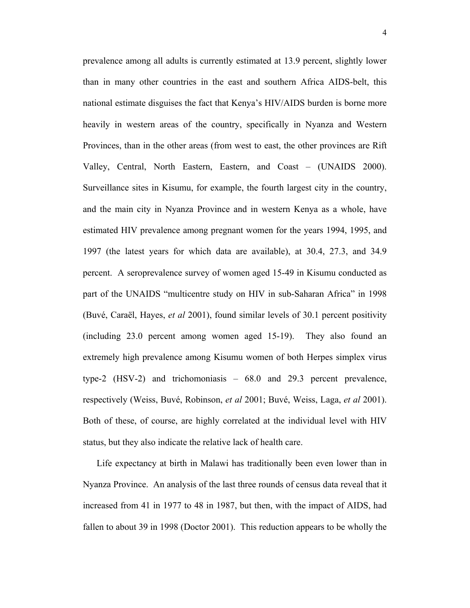prevalence among all adults is currently estimated at 13.9 percent, slightly lower than in many other countries in the east and southern Africa AIDS-belt, this national estimate disguises the fact that Kenya's HIV/AIDS burden is borne more heavily in western areas of the country, specifically in Nyanza and Western Provinces, than in the other areas (from west to east, the other provinces are Rift Valley, Central, North Eastern, Eastern, and Coast – (UNAIDS 2000). Surveillance sites in Kisumu, for example, the fourth largest city in the country, and the main city in Nyanza Province and in western Kenya as a whole, have estimated HIV prevalence among pregnant women for the years 1994, 1995, and 1997 (the latest years for which data are available), at 30.4, 27.3, and 34.9 percent. A seroprevalence survey of women aged 15-49 in Kisumu conducted as part of the UNAIDS "multicentre study on HIV in sub-Saharan Africa" in 1998 (Buvé, Caraël, Hayes, *et al* 2001), found similar levels of 30.1 percent positivity (including 23.0 percent among women aged 15-19). They also found an extremely high prevalence among Kisumu women of both Herpes simplex virus type-2 (HSV-2) and trichomoniasis – 68.0 and 29.3 percent prevalence, respectively (Weiss, Buvé, Robinson, *et al* 2001; Buvé, Weiss, Laga, *et al* 2001). Both of these, of course, are highly correlated at the individual level with HIV status, but they also indicate the relative lack of health care.

 Life expectancy at birth in Malawi has traditionally been even lower than in Nyanza Province. An analysis of the last three rounds of census data reveal that it increased from 41 in 1977 to 48 in 1987, but then, with the impact of AIDS, had fallen to about 39 in 1998 (Doctor 2001). This reduction appears to be wholly the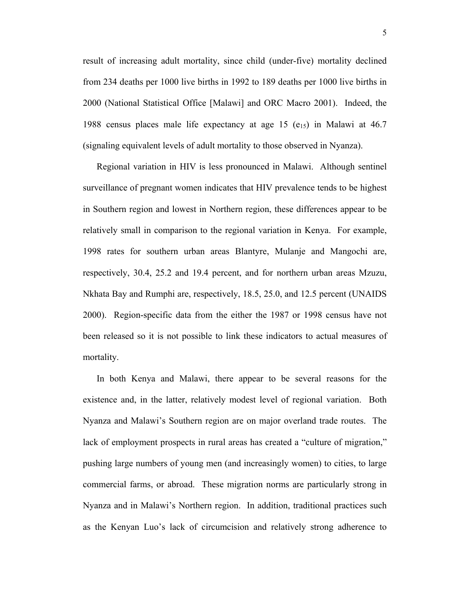result of increasing adult mortality, since child (under-five) mortality declined from 234 deaths per 1000 live births in 1992 to 189 deaths per 1000 live births in 2000 (National Statistical Office [Malawi] and ORC Macro 2001). Indeed, the 1988 census places male life expectancy at age 15  $(e_{15})$  in Malawi at 46.7 (signaling equivalent levels of adult mortality to those observed in Nyanza).

 Regional variation in HIV is less pronounced in Malawi. Although sentinel surveillance of pregnant women indicates that HIV prevalence tends to be highest in Southern region and lowest in Northern region, these differences appear to be relatively small in comparison to the regional variation in Kenya. For example, 1998 rates for southern urban areas Blantyre, Mulanje and Mangochi are, respectively, 30.4, 25.2 and 19.4 percent, and for northern urban areas Mzuzu, Nkhata Bay and Rumphi are, respectively, 18.5, 25.0, and 12.5 percent (UNAIDS 2000). Region-specific data from the either the 1987 or 1998 census have not been released so it is not possible to link these indicators to actual measures of mortality.

 In both Kenya and Malawi, there appear to be several reasons for the existence and, in the latter, relatively modest level of regional variation. Both Nyanza and Malawi's Southern region are on major overland trade routes. The lack of employment prospects in rural areas has created a "culture of migration," pushing large numbers of young men (and increasingly women) to cities, to large commercial farms, or abroad. These migration norms are particularly strong in Nyanza and in Malawi's Northern region. In addition, traditional practices such as the Kenyan Luo's lack of circumcision and relatively strong adherence to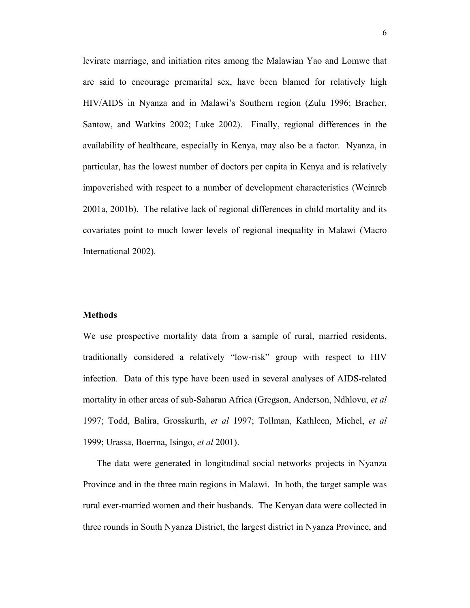levirate marriage, and initiation rites among the Malawian Yao and Lomwe that are said to encourage premarital sex, have been blamed for relatively high HIV/AIDS in Nyanza and in Malawi's Southern region (Zulu 1996; Bracher, Santow, and Watkins 2002; Luke 2002). Finally, regional differences in the availability of healthcare, especially in Kenya, may also be a factor. Nyanza, in particular, has the lowest number of doctors per capita in Kenya and is relatively impoverished with respect to a number of development characteristics (Weinreb 2001a, 2001b). The relative lack of regional differences in child mortality and its covariates point to much lower levels of regional inequality in Malawi (Macro International 2002).

#### **Methods**

We use prospective mortality data from a sample of rural, married residents, traditionally considered a relatively "low-risk" group with respect to HIV infection. Data of this type have been used in several analyses of AIDS-related mortality in other areas of sub-Saharan Africa (Gregson, Anderson, Ndhlovu, *et al*  1997; Todd, Balira, Grosskurth, *et al* 1997; Tollman, Kathleen, Michel, *et al* 1999; Urassa, Boerma, Isingo, *et al* 2001).

 The data were generated in longitudinal social networks projects in Nyanza Province and in the three main regions in Malawi. In both, the target sample was rural ever-married women and their husbands. The Kenyan data were collected in three rounds in South Nyanza District, the largest district in Nyanza Province, and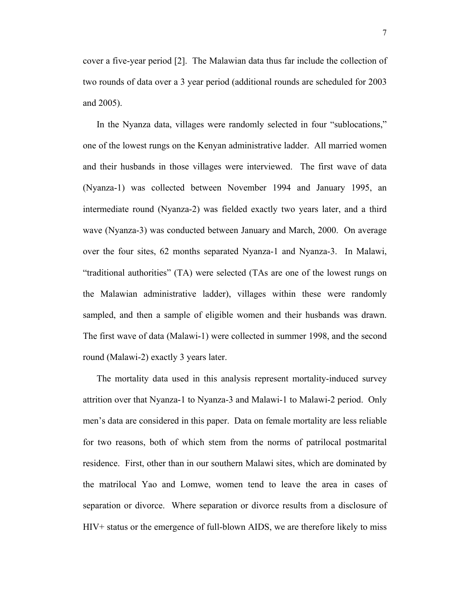cover a five-year period [2]. The Malawian data thus far include the collection of two rounds of data over a 3 year period (additional rounds are scheduled for 2003 and 2005).

 In the Nyanza data, villages were randomly selected in four "sublocations," one of the lowest rungs on the Kenyan administrative ladder. All married women and their husbands in those villages were interviewed. The first wave of data (Nyanza-1) was collected between November 1994 and January 1995, an intermediate round (Nyanza-2) was fielded exactly two years later, and a third wave (Nyanza-3) was conducted between January and March, 2000. On average over the four sites, 62 months separated Nyanza-1 and Nyanza-3. In Malawi, "traditional authorities" (TA) were selected (TAs are one of the lowest rungs on the Malawian administrative ladder), villages within these were randomly sampled, and then a sample of eligible women and their husbands was drawn. The first wave of data (Malawi-1) were collected in summer 1998, and the second round (Malawi-2) exactly 3 years later.

 The mortality data used in this analysis represent mortality-induced survey attrition over that Nyanza-1 to Nyanza-3 and Malawi-1 to Malawi-2 period. Only men's data are considered in this paper. Data on female mortality are less reliable for two reasons, both of which stem from the norms of patrilocal postmarital residence. First, other than in our southern Malawi sites, which are dominated by the matrilocal Yao and Lomwe, women tend to leave the area in cases of separation or divorce. Where separation or divorce results from a disclosure of HIV+ status or the emergence of full-blown AIDS, we are therefore likely to miss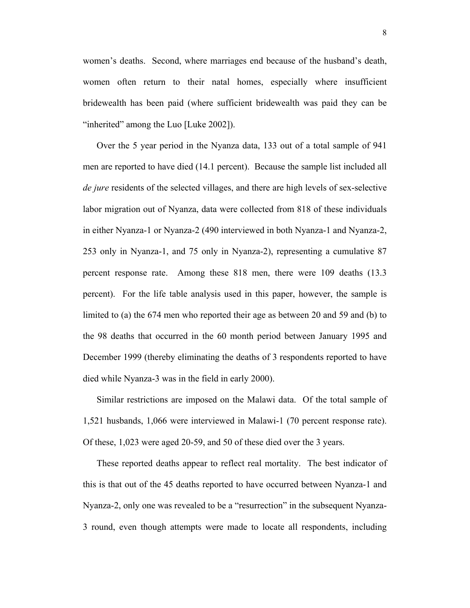women's deaths. Second, where marriages end because of the husband's death, women often return to their natal homes, especially where insufficient bridewealth has been paid (where sufficient bridewealth was paid they can be "inherited" among the Luo [Luke 2002]).

 Over the 5 year period in the Nyanza data, 133 out of a total sample of 941 men are reported to have died (14.1 percent). Because the sample list included all *de jure* residents of the selected villages, and there are high levels of sex-selective labor migration out of Nyanza, data were collected from 818 of these individuals in either Nyanza-1 or Nyanza-2 (490 interviewed in both Nyanza-1 and Nyanza-2, 253 only in Nyanza-1, and 75 only in Nyanza-2), representing a cumulative 87 percent response rate. Among these 818 men, there were 109 deaths (13.3 percent). For the life table analysis used in this paper, however, the sample is limited to (a) the 674 men who reported their age as between 20 and 59 and (b) to the 98 deaths that occurred in the 60 month period between January 1995 and December 1999 (thereby eliminating the deaths of 3 respondents reported to have died while Nyanza-3 was in the field in early 2000).

 Similar restrictions are imposed on the Malawi data. Of the total sample of 1,521 husbands, 1,066 were interviewed in Malawi-1 (70 percent response rate). Of these, 1,023 were aged 20-59, and 50 of these died over the 3 years.

 These reported deaths appear to reflect real mortality. The best indicator of this is that out of the 45 deaths reported to have occurred between Nyanza-1 and Nyanza-2, only one was revealed to be a "resurrection" in the subsequent Nyanza-3 round, even though attempts were made to locate all respondents, including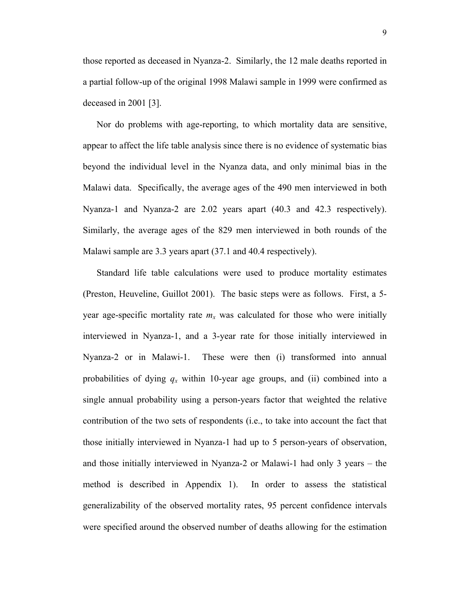those reported as deceased in Nyanza-2. Similarly, the 12 male deaths reported in a partial follow-up of the original 1998 Malawi sample in 1999 were confirmed as deceased in 2001 [3].

 Nor do problems with age-reporting, to which mortality data are sensitive, appear to affect the life table analysis since there is no evidence of systematic bias beyond the individual level in the Nyanza data, and only minimal bias in the Malawi data. Specifically, the average ages of the 490 men interviewed in both Nyanza-1 and Nyanza-2 are 2.02 years apart (40.3 and 42.3 respectively). Similarly, the average ages of the 829 men interviewed in both rounds of the Malawi sample are 3.3 years apart (37.1 and 40.4 respectively).

 Standard life table calculations were used to produce mortality estimates (Preston, Heuveline, Guillot 2001). The basic steps were as follows. First, a 5 year age-specific mortality rate  $m<sub>x</sub>$  was calculated for those who were initially interviewed in Nyanza-1, and a 3-year rate for those initially interviewed in Nyanza-2 or in Malawi-1. These were then (i) transformed into annual probabilities of dying  $q_x$  within 10-year age groups, and (ii) combined into a single annual probability using a person-years factor that weighted the relative contribution of the two sets of respondents (i.e., to take into account the fact that those initially interviewed in Nyanza-1 had up to 5 person-years of observation, and those initially interviewed in Nyanza-2 or Malawi-1 had only 3 years – the method is described in Appendix 1). In order to assess the statistical generalizability of the observed mortality rates, 95 percent confidence intervals were specified around the observed number of deaths allowing for the estimation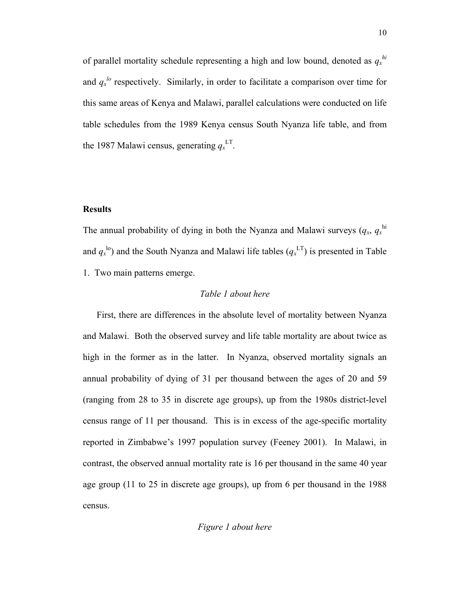of parallel mortality schedule representing a high and low bound, denoted as  $q_x^{hi}$ and  $q_x^{\mu}$  respectively. Similarly, in order to facilitate a comparison over time for this same areas of Kenya and Malawi, parallel calculations were conducted on life table schedules from the 1989 Kenya census South Nyanza life table, and from the 1987 Malawi census, generating  $q_x^{\text{LT}}$ .

#### **Results**

The annual probability of dying in both the Nyanza and Malawi surveys  $(q_x, q_x^{\text{hi}})$ and  $q_x$ <sup>lo</sup>) and the South Nyanza and Malawi life tables  $(q_x$ <sup>LT</sup>) is presented in Table 1. Two main patterns emerge.

#### *Table 1 about here*

 First, there are differences in the absolute level of mortality between Nyanza and Malawi. Both the observed survey and life table mortality are about twice as high in the former as in the latter. In Nyanza, observed mortality signals an annual probability of dying of 31 per thousand between the ages of 20 and 59 (ranging from 28 to 35 in discrete age groups), up from the 1980s district-level census range of 11 per thousand. This is in excess of the age-specific mortality reported in Zimbabwe's 1997 population survey (Feeney 2001). In Malawi, in contrast, the observed annual mortality rate is 16 per thousand in the same 40 year age group (11 to 25 in discrete age groups), up from 6 per thousand in the 1988 census.

#### *Figure 1 about here*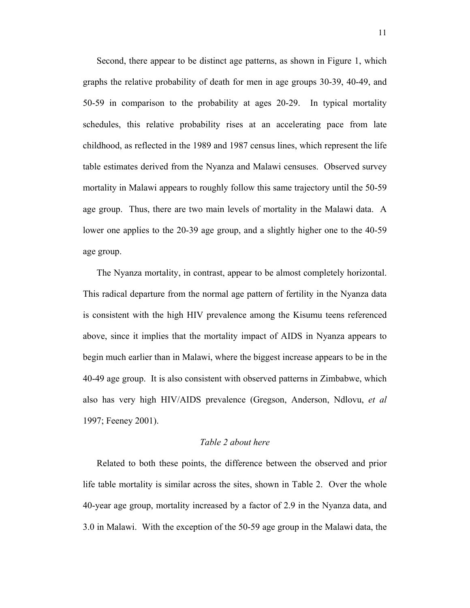Second, there appear to be distinct age patterns, as shown in Figure 1, which graphs the relative probability of death for men in age groups 30-39, 40-49, and 50-59 in comparison to the probability at ages 20-29. In typical mortality schedules, this relative probability rises at an accelerating pace from late childhood, as reflected in the 1989 and 1987 census lines, which represent the life table estimates derived from the Nyanza and Malawi censuses. Observed survey mortality in Malawi appears to roughly follow this same trajectory until the 50-59 age group. Thus, there are two main levels of mortality in the Malawi data. A lower one applies to the 20-39 age group, and a slightly higher one to the 40-59 age group.

 The Nyanza mortality, in contrast, appear to be almost completely horizontal. This radical departure from the normal age pattern of fertility in the Nyanza data is consistent with the high HIV prevalence among the Kisumu teens referenced above, since it implies that the mortality impact of AIDS in Nyanza appears to begin much earlier than in Malawi, where the biggest increase appears to be in the 40-49 age group. It is also consistent with observed patterns in Zimbabwe, which also has very high HIV/AIDS prevalence (Gregson, Anderson, Ndlovu, *et al* 1997; Feeney 2001).

#### *Table 2 about here*

 Related to both these points, the difference between the observed and prior life table mortality is similar across the sites, shown in Table 2. Over the whole 40-year age group, mortality increased by a factor of 2.9 in the Nyanza data, and 3.0 in Malawi. With the exception of the 50-59 age group in the Malawi data, the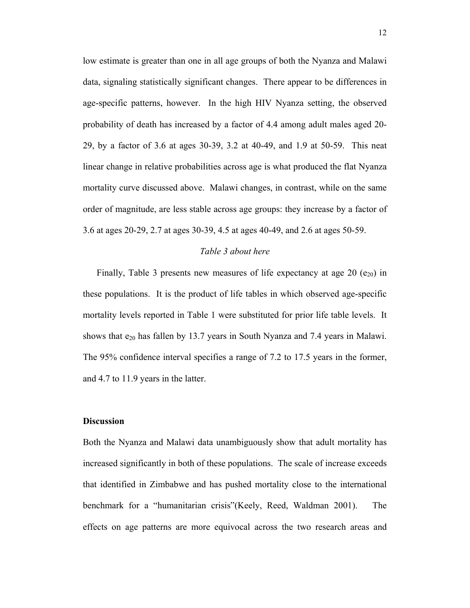low estimate is greater than one in all age groups of both the Nyanza and Malawi data, signaling statistically significant changes. There appear to be differences in age-specific patterns, however. In the high HIV Nyanza setting, the observed probability of death has increased by a factor of 4.4 among adult males aged 20- 29, by a factor of 3.6 at ages 30-39, 3.2 at 40-49, and 1.9 at 50-59. This neat linear change in relative probabilities across age is what produced the flat Nyanza mortality curve discussed above. Malawi changes, in contrast, while on the same order of magnitude, are less stable across age groups: they increase by a factor of 3.6 at ages 20-29, 2.7 at ages 30-39, 4.5 at ages 40-49, and 2.6 at ages 50-59.

#### *Table 3 about here*

Finally, Table 3 presents new measures of life expectancy at age 20 ( $e_{20}$ ) in these populations. It is the product of life tables in which observed age-specific mortality levels reported in Table 1 were substituted for prior life table levels. It shows that  $e_{20}$  has fallen by 13.7 years in South Nyanza and 7.4 years in Malawi. The 95% confidence interval specifies a range of 7.2 to 17.5 years in the former, and 4.7 to 11.9 years in the latter.

#### **Discussion**

Both the Nyanza and Malawi data unambiguously show that adult mortality has increased significantly in both of these populations. The scale of increase exceeds that identified in Zimbabwe and has pushed mortality close to the international benchmark for a "humanitarian crisis"(Keely, Reed, Waldman 2001). The effects on age patterns are more equivocal across the two research areas and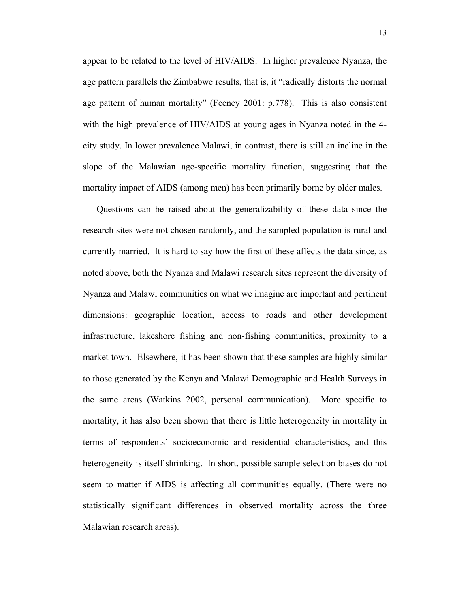appear to be related to the level of HIV/AIDS. In higher prevalence Nyanza, the age pattern parallels the Zimbabwe results, that is, it "radically distorts the normal age pattern of human mortality" (Feeney 2001: p.778). This is also consistent with the high prevalence of HIV/AIDS at young ages in Nyanza noted in the 4 city study. In lower prevalence Malawi, in contrast, there is still an incline in the slope of the Malawian age-specific mortality function, suggesting that the mortality impact of AIDS (among men) has been primarily borne by older males.

 Questions can be raised about the generalizability of these data since the research sites were not chosen randomly, and the sampled population is rural and currently married. It is hard to say how the first of these affects the data since, as noted above, both the Nyanza and Malawi research sites represent the diversity of Nyanza and Malawi communities on what we imagine are important and pertinent dimensions: geographic location, access to roads and other development infrastructure, lakeshore fishing and non-fishing communities, proximity to a market town. Elsewhere, it has been shown that these samples are highly similar to those generated by the Kenya and Malawi Demographic and Health Surveys in the same areas (Watkins 2002, personal communication). More specific to mortality, it has also been shown that there is little heterogeneity in mortality in terms of respondents' socioeconomic and residential characteristics, and this heterogeneity is itself shrinking. In short, possible sample selection biases do not seem to matter if AIDS is affecting all communities equally. (There were no statistically significant differences in observed mortality across the three Malawian research areas).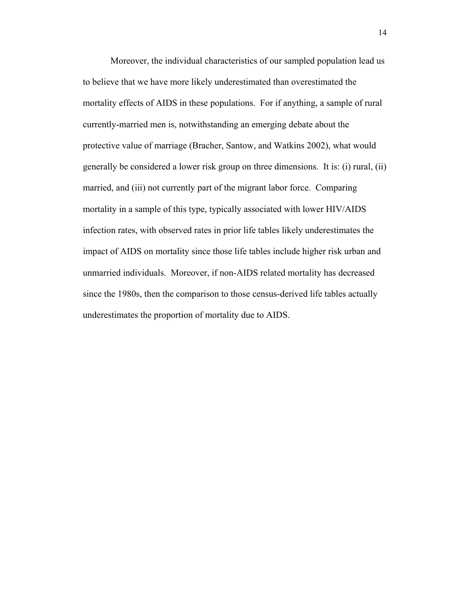Moreover, the individual characteristics of our sampled population lead us to believe that we have more likely underestimated than overestimated the mortality effects of AIDS in these populations. For if anything, a sample of rural currently-married men is, notwithstanding an emerging debate about the protective value of marriage (Bracher, Santow, and Watkins 2002), what would generally be considered a lower risk group on three dimensions. It is: (i) rural, (ii) married, and (iii) not currently part of the migrant labor force. Comparing mortality in a sample of this type, typically associated with lower HIV/AIDS infection rates, with observed rates in prior life tables likely underestimates the impact of AIDS on mortality since those life tables include higher risk urban and unmarried individuals. Moreover, if non-AIDS related mortality has decreased since the 1980s, then the comparison to those census-derived life tables actually underestimates the proportion of mortality due to AIDS.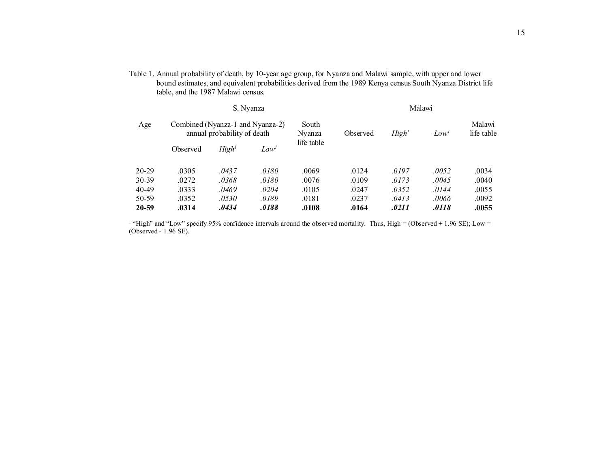Table 1. Annual probability of death, by 10-year age group, for Nyanza and Malawi sample, with upper and lower bound estimates, and equivalent probabilities derived from the 1989 Kenya census South Nyanza District life table, and the 1987 Malawi census.

|           | S. Nyanza                                                       |                   |         |                 | Malawi   |                   |                  |                      |
|-----------|-----------------------------------------------------------------|-------------------|---------|-----------------|----------|-------------------|------------------|----------------------|
| Age       | Combined (Nyanza-1 and Nyanza-2)<br>annual probability of death |                   |         | South<br>Nyanza | Observed | High <sup>1</sup> | Low <sup>1</sup> | Malawi<br>life table |
|           | Observed                                                        | High <sup>1</sup> | $Low^I$ | life table      |          |                   |                  |                      |
| $20 - 29$ | .0305                                                           | .0437             | .0180   | .0069           | .0124    | .0197             | .0052            | .0034                |
| 30-39     | .0272                                                           | .0368             | .0180   | .0076           | .0109    | .0173             | .0045            | .0040                |
| 40-49     | .0333                                                           | .0469             | .0204   | .0105           | .0247    | .0352             | .0144            | .0055                |
| 50-59     | .0352                                                           | .0530             | .0189   | .0181           | .0237    | .0413             | .0066            | .0092                |
| 20-59     | .0314                                                           | .0434             | .0188   | .0108           | .0164    | .0211             | .0118            | .0055                |

<sup>1</sup> "High" and "Low" specify 95% confidence intervals around the observed mortality. Thus, High = (Observed + 1.96 SE); Low = (Observed - 1.96 SE).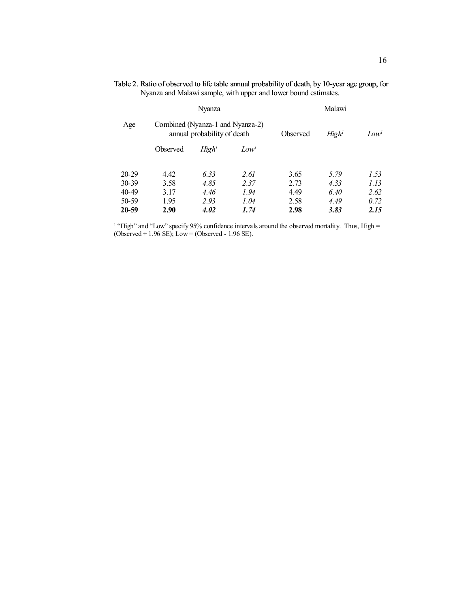|           |                                  | Nyanza                      |                  |          | Malawi            |                  |
|-----------|----------------------------------|-----------------------------|------------------|----------|-------------------|------------------|
| Age       | Combined (Nyanza-1 and Nyanza-2) | annual probability of death |                  | Observed | High <sup>1</sup> | Low <sup>1</sup> |
|           | Observed                         | High <sup>1</sup>           | Low <sup>1</sup> |          |                   |                  |
| $20 - 29$ | 4.42                             | 6.33                        | 2.61             | 3.65     | 5.79              | 1.53             |
| $30 - 39$ | 3.58                             | 4.85                        | 2.37             | 2.73     | 4.33              | 1.13             |
| $40 - 49$ | 3.17                             | 4.46                        | 1.94             | 4.49     | 6.40              | 2.62             |
| 50-59     | 1.95                             | 2.93                        | 1.04             | 2.58     | 4.49              | 0.72             |
| 20-59     | 2.90                             | 4.02                        | 1.74             | 2.98     | 3.83              | 2.15             |

Table 2. Ratio of observed to life table annual probability of death, by 10-year age group, for Nyanza and Malawi sample, with upper and lower bound estimates.

<sup>1</sup> "High" and "Low" specify 95% confidence intervals around the observed mortality. Thus, High = (Observed  $+ 1.96$  SE); Low = (Observed - 1.96 SE).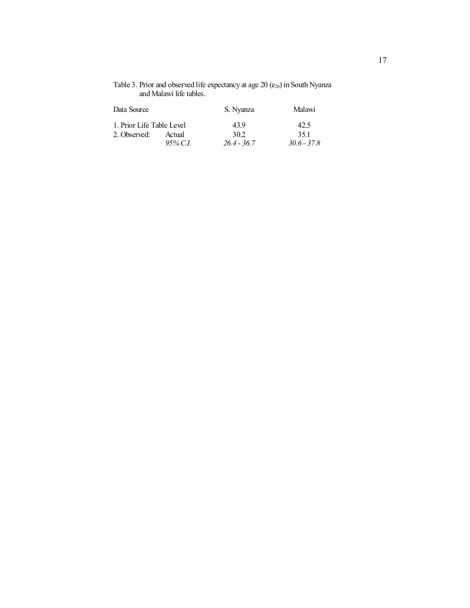| Table 3. Prior and observed life expectancy at age 20 $(e_{20})$ in South Nyanza |
|----------------------------------------------------------------------------------|
| and Malawi life tables.                                                          |

| Data Source               |             | S. Nyanza     | Malawi<br>42.5 |  |
|---------------------------|-------------|---------------|----------------|--|
| 1. Prior Life Table Level |             | 439           |                |  |
| 2. Observed:              | Actual      | 302           | 351            |  |
|                           | $95\%$ C.I. | $26.4 - 36.7$ | $30.6 - 37.8$  |  |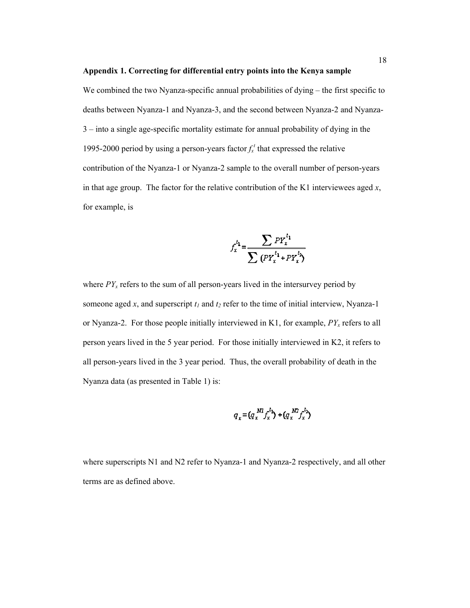#### **Appendix 1. Correcting for differential entry points into the Kenya sample**

We combined the two Nyanza-specific annual probabilities of dying – the first specific to deaths between Nyanza-1 and Nyanza-3, and the second between Nyanza-2 and Nyanza-3 – into a single age-specific mortality estimate for annual probability of dying in the 1995-2000 period by using a person-years factor  $f_x^t$  that expressed the relative contribution of the Nyanza-1 or Nyanza-2 sample to the overall number of person-years in that age group. The factor for the relative contribution of the K1 interviewees aged *x*, for example, is

$$
f_x^{t_1} = \frac{\sum PY_x^{t_1}}{\sum (PY_x^{t_1} + PY_x^{t_2})}
$$

where  $PY_x$  refers to the sum of all person-years lived in the intersurvey period by someone aged  $x$ , and superscript  $t_1$  and  $t_2$  refer to the time of initial interview, Nyanza-1 or Nyanza-2. For those people initially interviewed in K1, for example,  $PY_x$  refers to all person years lived in the 5 year period. For those initially interviewed in K2, it refers to all person-years lived in the 3 year period. Thus, the overall probability of death in the Nyanza data (as presented in Table 1) is:

$$
q_x = (q_x^{Nl} f_x^{t_1}) + (q_x^{N2} f_x^{t_2})
$$

where superscripts N1 and N2 refer to Nyanza-1 and Nyanza-2 respectively, and all other terms are as defined above.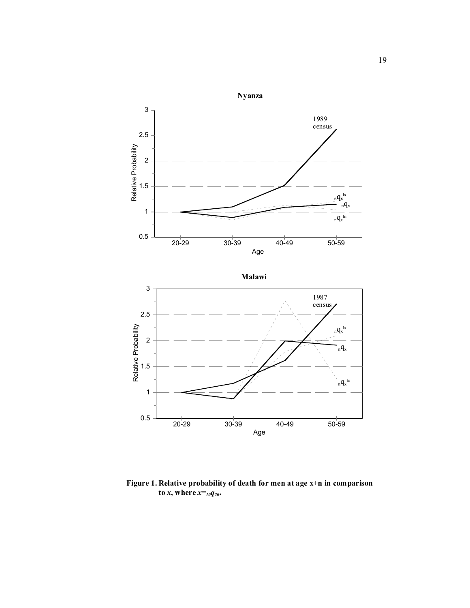

**Figure 1. Relative probability of death for men at age x+n in comparison to** *x*, where  $x=$ *10* $q_{20}$ **.**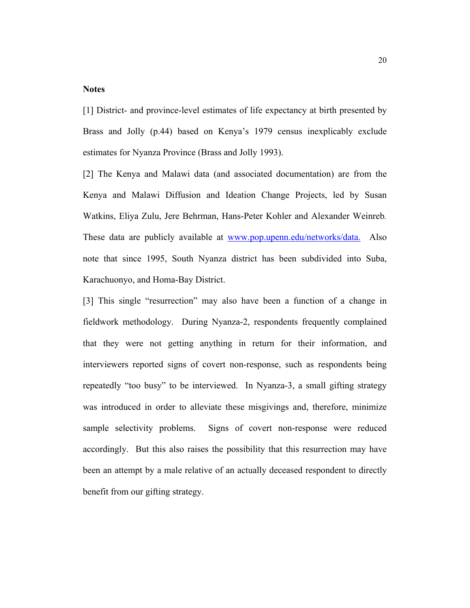#### **Notes**

[1] District- and province-level estimates of life expectancy at birth presented by Brass and Jolly (p.44) based on Kenya's 1979 census inexplicably exclude estimates for Nyanza Province (Brass and Jolly 1993).

[2] The Kenya and Malawi data (and associated documentation) are from the Kenya and Malawi Diffusion and Ideation Change Projects, led by Susan Watkins, Eliya Zulu, Jere Behrman, Hans-Peter Kohler and Alexander Weinreb*.* These data are publicly available at [www.pop.upenn.edu/networks/data.](http://www.pop.upenn.edu/networks/data.) Also note that since 1995, South Nyanza district has been subdivided into Suba, Karachuonyo, and Homa-Bay District.

[3] This single "resurrection" may also have been a function of a change in fieldwork methodology. During Nyanza-2, respondents frequently complained that they were not getting anything in return for their information, and interviewers reported signs of covert non-response, such as respondents being repeatedly "too busy" to be interviewed. In Nyanza-3, a small gifting strategy was introduced in order to alleviate these misgivings and, therefore, minimize sample selectivity problems. Signs of covert non-response were reduced accordingly. But this also raises the possibility that this resurrection may have been an attempt by a male relative of an actually deceased respondent to directly benefit from our gifting strategy.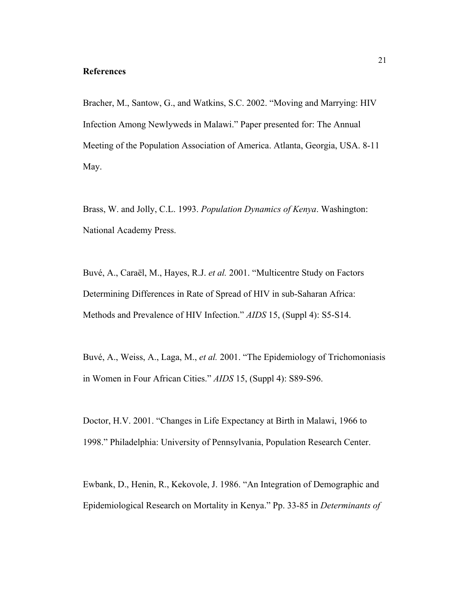#### **References**

Bracher, M., Santow, G., and Watkins, S.C. 2002. "Moving and Marrying: HIV Infection Among Newlyweds in Malawi." Paper presented for: The Annual Meeting of the Population Association of America. Atlanta, Georgia, USA. 8-11 May.

Brass, W. and Jolly, C.L. 1993. *Population Dynamics of Kenya*. Washington: National Academy Press.

Buvé, A., Caraël, M., Hayes, R.J. *et al.* 2001. "Multicentre Study on Factors Determining Differences in Rate of Spread of HIV in sub-Saharan Africa: Methods and Prevalence of HIV Infection." *AIDS* 15, (Suppl 4): S5-S14.

Buvé, A., Weiss, A., Laga, M., *et al.* 2001. "The Epidemiology of Trichomoniasis in Women in Four African Cities." *AIDS* 15, (Suppl 4): S89-S96.

Doctor, H.V. 2001. "Changes in Life Expectancy at Birth in Malawi, 1966 to 1998." Philadelphia: University of Pennsylvania, Population Research Center.

Ewbank, D., Henin, R., Kekovole, J. 1986. "An Integration of Demographic and Epidemiological Research on Mortality in Kenya." Pp. 33-85 in *Determinants of*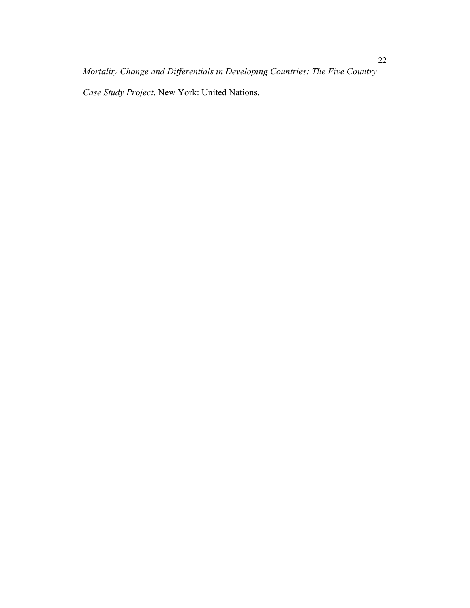*Case Study Project*. New York: United Nations.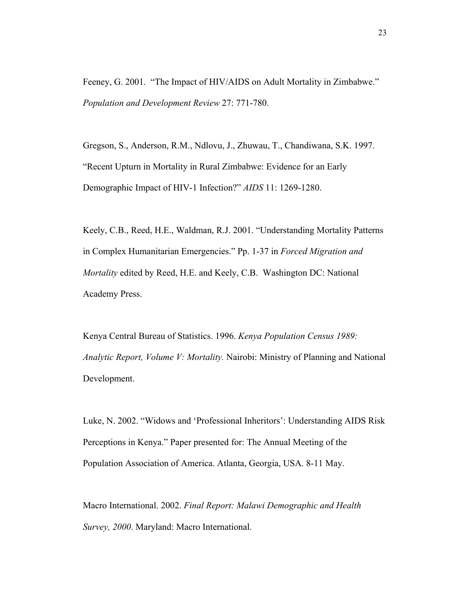Feeney, G. 2001. "The Impact of HIV/AIDS on Adult Mortality in Zimbabwe." *Population and Development Review* 27: 771-780.

Gregson, S., Anderson, R.M., Ndlovu, J., Zhuwau, T., Chandiwana, S.K. 1997. "Recent Upturn in Mortality in Rural Zimbabwe: Evidence for an Early Demographic Impact of HIV-1 Infection?" *AIDS* 11: 1269-1280.

Keely, C.B., Reed, H.E., Waldman, R.J. 2001. "Understanding Mortality Patterns in Complex Humanitarian Emergencies." Pp. 1-37 in *Forced Migration and Mortality* edited by Reed, H.E. and Keely, C.B. Washington DC: National Academy Press.

Kenya Central Bureau of Statistics. 1996. *Kenya Population Census 1989: Analytic Report, Volume V: Mortality.* Nairobi: Ministry of Planning and National Development.

Luke, N. 2002. "Widows and 'Professional Inheritors': Understanding AIDS Risk Perceptions in Kenya." Paper presented for: The Annual Meeting of the Population Association of America. Atlanta, Georgia, USA. 8-11 May.

Macro International. 2002. *Final Report: Malawi Demographic and Health Survey, 2000*. Maryland: Macro International.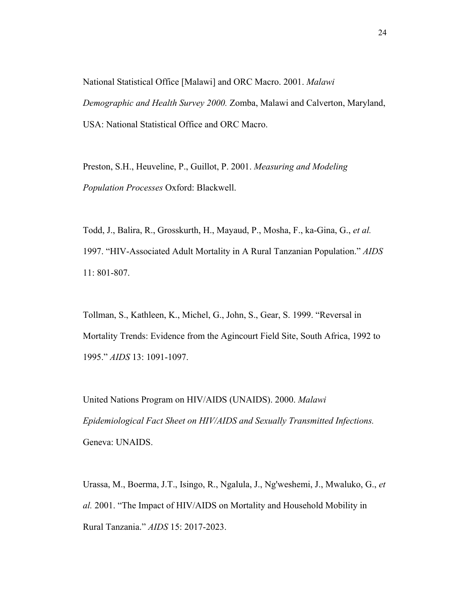National Statistical Office [Malawi] and ORC Macro. 2001. *Malawi Demographic and Health Survey 2000.* Zomba, Malawi and Calverton, Maryland, USA: National Statistical Office and ORC Macro.

Preston, S.H., Heuveline, P., Guillot, P. 2001. *Measuring and Modeling Population Processes* Oxford: Blackwell.

Todd, J., Balira, R., Grosskurth, H., Mayaud, P., Mosha, F., ka-Gina, G., *et al.* 1997. "HIV-Associated Adult Mortality in A Rural Tanzanian Population." *AIDS* 11: 801-807.

Tollman, S., Kathleen, K., Michel, G., John, S., Gear, S. 1999. "Reversal in Mortality Trends: Evidence from the Agincourt Field Site, South Africa, 1992 to 1995." *AIDS* 13: 1091-1097.

United Nations Program on HIV/AIDS (UNAIDS). 2000. *Malawi Epidemiological Fact Sheet on HIV/AIDS and Sexually Transmitted Infections.* Geneva: UNAIDS.

Urassa, M., Boerma, J.T., Isingo, R., Ngalula, J., Ng'weshemi, J., Mwaluko, G., *et al.* 2001. "The Impact of HIV/AIDS on Mortality and Household Mobility in Rural Tanzania." *AIDS* 15: 2017-2023.